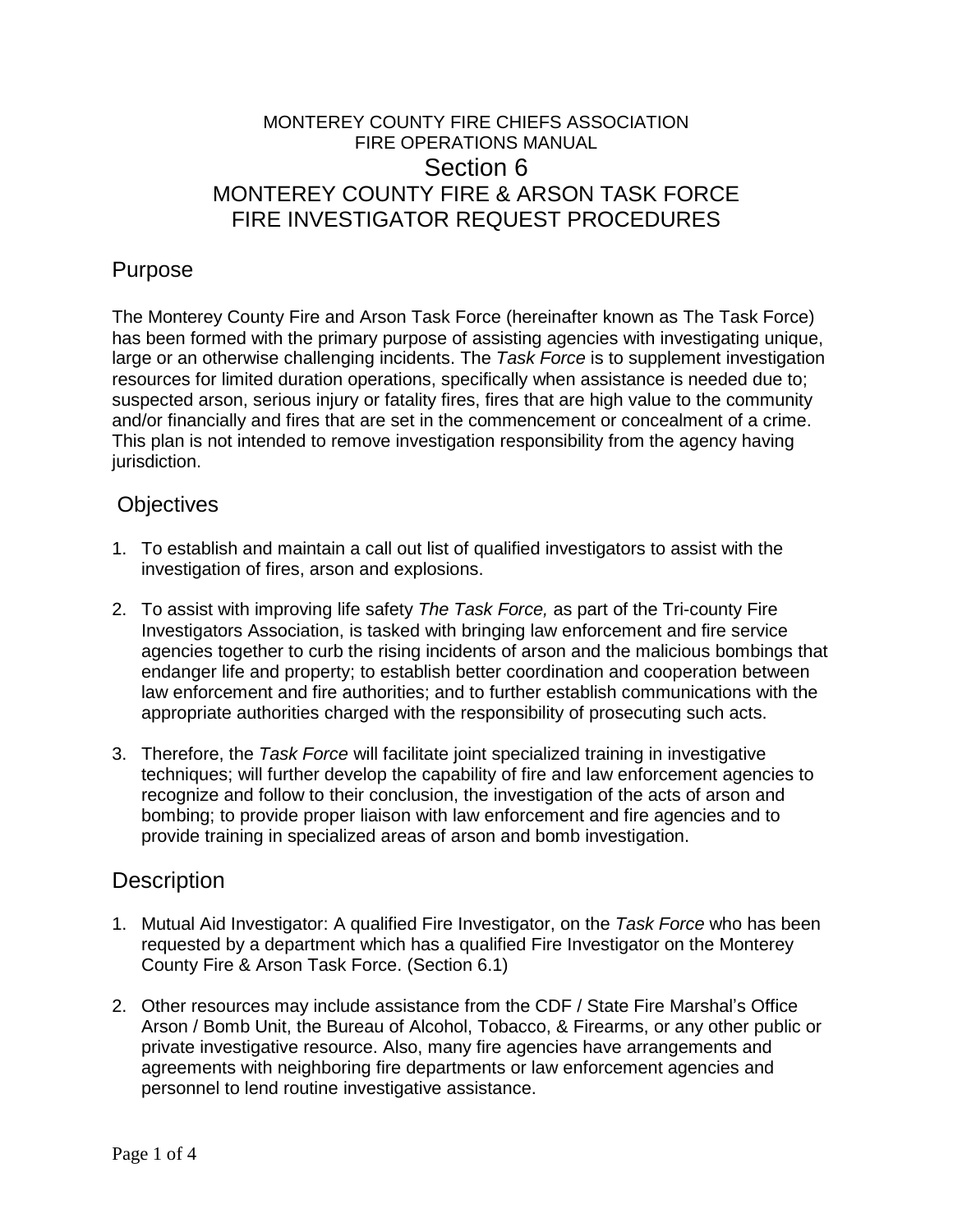## MONTEREY COUNTY FIRE CHIEFS ASSOCIATION FIRE OPERATIONS MANUAL Section 6 MONTEREY COUNTY FIRE & ARSON TASK FORCE FIRE INVESTIGATOR REQUEST PROCEDURES

# Purpose

The Monterey County Fire and Arson Task Force (hereinafter known as The Task Force) has been formed with the primary purpose of assisting agencies with investigating unique, large or an otherwise challenging incidents. The *Task Force* is to supplement investigation resources for limited duration operations, specifically when assistance is needed due to; suspected arson, serious injury or fatality fires, fires that are high value to the community and/or financially and fires that are set in the commencement or concealment of a crime. This plan is not intended to remove investigation responsibility from the agency having jurisdiction.

#### **Objectives**

- 1. To establish and maintain a call out list of qualified investigators to assist with the investigation of fires, arson and explosions.
- 2. To assist with improving life safety *The Task Force,* as part of the Tri-county Fire Investigators Association, is tasked with bringing law enforcement and fire service agencies together to curb the rising incidents of arson and the malicious bombings that endanger life and property; to establish better coordination and cooperation between law enforcement and fire authorities; and to further establish communications with the appropriate authorities charged with the responsibility of prosecuting such acts.
- 3. Therefore, the *Task Force* will facilitate joint specialized training in investigative techniques; will further develop the capability of fire and law enforcement agencies to recognize and follow to their conclusion, the investigation of the acts of arson and bombing; to provide proper liaison with law enforcement and fire agencies and to provide training in specialized areas of arson and bomb investigation.

### **Description**

- 1. Mutual Aid Investigator: A qualified Fire Investigator, on the *Task Force* who has been requested by a department which has a qualified Fire Investigator on the Monterey County Fire & Arson Task Force. (Section 6.1)
- 2. Other resources may include assistance from the CDF / State Fire Marshal's Office Arson / Bomb Unit, the Bureau of Alcohol, Tobacco, & Firearms, or any other public or private investigative resource. Also, many fire agencies have arrangements and agreements with neighboring fire departments or law enforcement agencies and personnel to lend routine investigative assistance.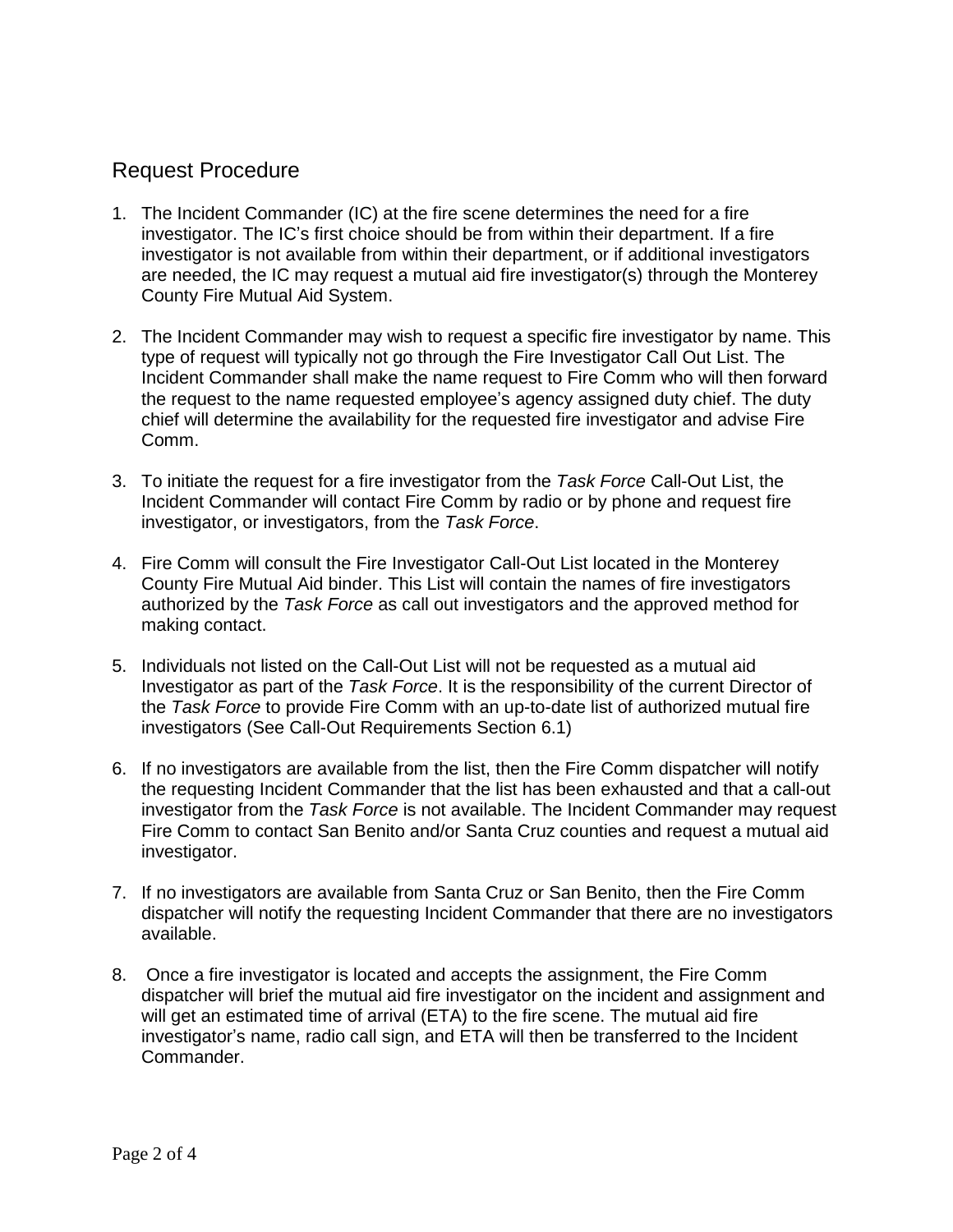## Request Procedure

- 1. The Incident Commander (IC) at the fire scene determines the need for a fire investigator. The IC's first choice should be from within their department. If a fire investigator is not available from within their department, or if additional investigators are needed, the IC may request a mutual aid fire investigator(s) through the Monterey County Fire Mutual Aid System.
- 2. The Incident Commander may wish to request a specific fire investigator by name. This type of request will typically not go through the Fire Investigator Call Out List. The Incident Commander shall make the name request to Fire Comm who will then forward the request to the name requested employee's agency assigned duty chief. The duty chief will determine the availability for the requested fire investigator and advise Fire Comm.
- 3. To initiate the request for a fire investigator from the *Task Force* Call-Out List, the Incident Commander will contact Fire Comm by radio or by phone and request fire investigator, or investigators, from the *Task Force*.
- 4. Fire Comm will consult the Fire Investigator Call-Out List located in the Monterey County Fire Mutual Aid binder. This List will contain the names of fire investigators authorized by the *Task Force* as call out investigators and the approved method for making contact.
- 5. Individuals not listed on the Call-Out List will not be requested as a mutual aid Investigator as part of the *Task Force*. It is the responsibility of the current Director of the *Task Force* to provide Fire Comm with an up-to-date list of authorized mutual fire investigators (See Call-Out Requirements Section 6.1)
- 6. If no investigators are available from the list, then the Fire Comm dispatcher will notify the requesting Incident Commander that the list has been exhausted and that a call-out investigator from the *Task Force* is not available. The Incident Commander may request Fire Comm to contact San Benito and/or Santa Cruz counties and request a mutual aid investigator.
- 7. If no investigators are available from Santa Cruz or San Benito, then the Fire Comm dispatcher will notify the requesting Incident Commander that there are no investigators available.
- 8. Once a fire investigator is located and accepts the assignment, the Fire Comm dispatcher will brief the mutual aid fire investigator on the incident and assignment and will get an estimated time of arrival (ETA) to the fire scene. The mutual aid fire investigator's name, radio call sign, and ETA will then be transferred to the Incident Commander.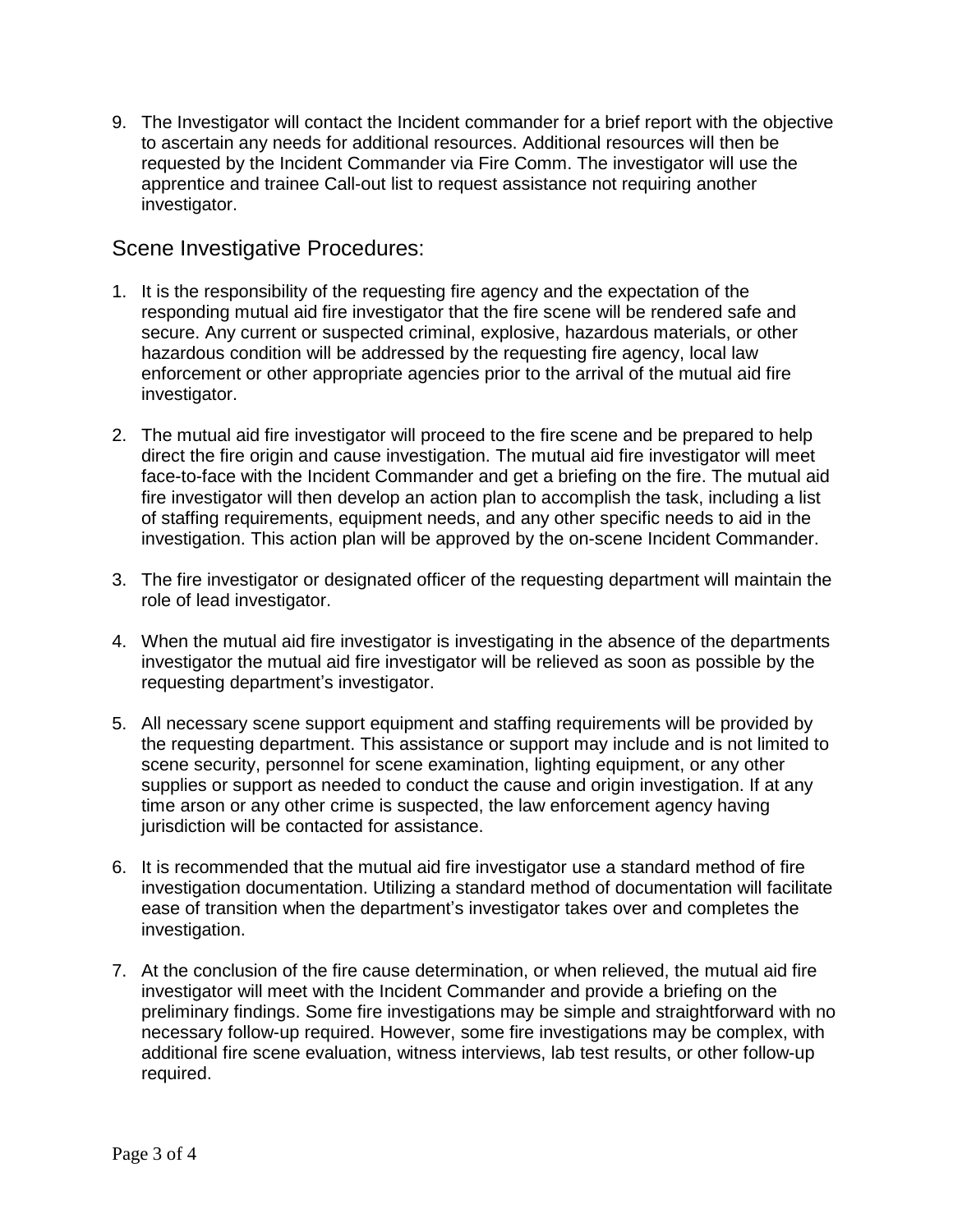9. The Investigator will contact the Incident commander for a brief report with the objective to ascertain any needs for additional resources. Additional resources will then be requested by the Incident Commander via Fire Comm. The investigator will use the apprentice and trainee Call-out list to request assistance not requiring another investigator.

#### Scene Investigative Procedures:

- 1. It is the responsibility of the requesting fire agency and the expectation of the responding mutual aid fire investigator that the fire scene will be rendered safe and secure. Any current or suspected criminal, explosive, hazardous materials, or other hazardous condition will be addressed by the requesting fire agency, local law enforcement or other appropriate agencies prior to the arrival of the mutual aid fire investigator.
- 2. The mutual aid fire investigator will proceed to the fire scene and be prepared to help direct the fire origin and cause investigation. The mutual aid fire investigator will meet face-to-face with the Incident Commander and get a briefing on the fire. The mutual aid fire investigator will then develop an action plan to accomplish the task, including a list of staffing requirements, equipment needs, and any other specific needs to aid in the investigation. This action plan will be approved by the on-scene Incident Commander.
- 3. The fire investigator or designated officer of the requesting department will maintain the role of lead investigator.
- 4. When the mutual aid fire investigator is investigating in the absence of the departments investigator the mutual aid fire investigator will be relieved as soon as possible by the requesting department's investigator.
- 5. All necessary scene support equipment and staffing requirements will be provided by the requesting department. This assistance or support may include and is not limited to scene security, personnel for scene examination, lighting equipment, or any other supplies or support as needed to conduct the cause and origin investigation. If at any time arson or any other crime is suspected, the law enforcement agency having jurisdiction will be contacted for assistance.
- 6. It is recommended that the mutual aid fire investigator use a standard method of fire investigation documentation. Utilizing a standard method of documentation will facilitate ease of transition when the department's investigator takes over and completes the investigation.
- 7. At the conclusion of the fire cause determination, or when relieved, the mutual aid fire investigator will meet with the Incident Commander and provide a briefing on the preliminary findings. Some fire investigations may be simple and straightforward with no necessary follow-up required. However, some fire investigations may be complex, with additional fire scene evaluation, witness interviews, lab test results, or other follow-up required.